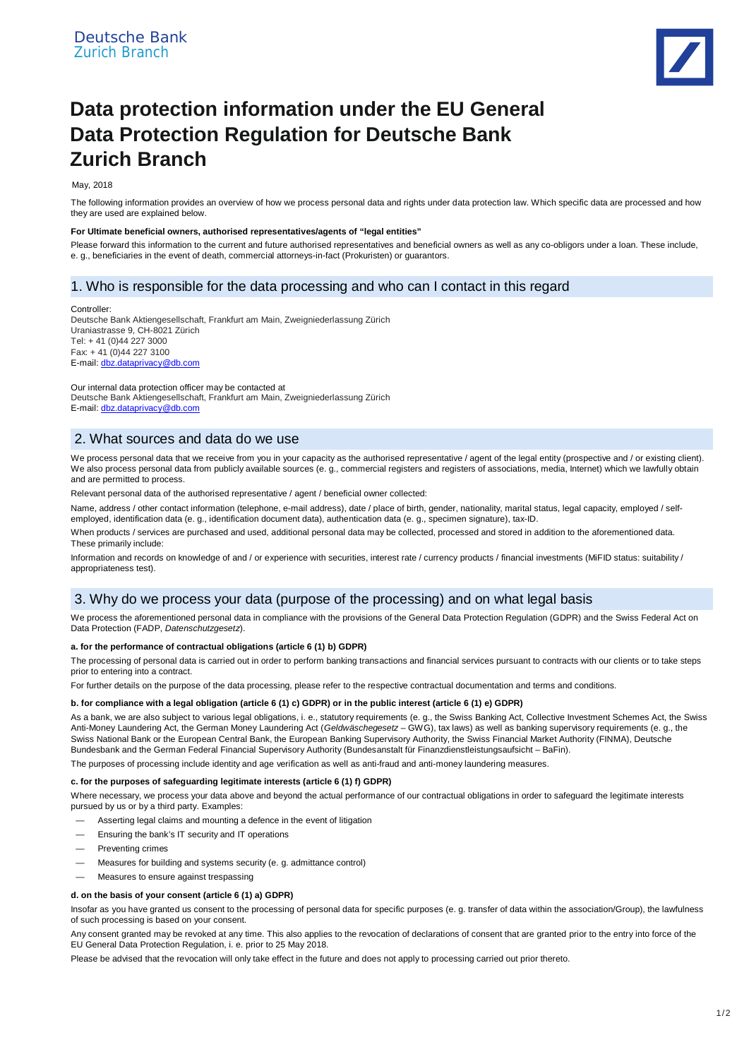

# **Data protection information under the EU General Data Protection Regulation for Deutsche Bank Zurich Branch**

#### May, 2018

The following information provides an overview of how we process personal data and rights under data protection law. Which specific data are processed and how they are used are explained below.

#### **For Ultimate beneficial owners, authorised representatives/agents of "legal entities"**

Please forward this information to the current and future authorised representatives and beneficial owners as well as any co-obligors under a loan. These include, e. g., beneficiaries in the event of death, commercial attorneys-in-fact (Prokuristen) or guarantors.

## 1. Who is responsible for the data processing and who can I contact in this regard

#### Controller:

Deutsche Bank Aktiengesellschaft, Frankfurt am Main, Zweigniederlassung Zürich Uraniastrasse 9, CH-8021 Zürich Tel: + 41 (0)44 227 3000 Fax: + 41 (0)44 227 3100 E-mail: dbz.dataprivacy@db.com

Our internal data protection officer may be contacted at Deutsche Bank Aktiengesellschaft, Frankfurt am Main, Zweigniederlassung Zürich E-mail: dbz.dataprivacy@db.com

# 2. What sources and data do we use

We process personal data that we receive from you in your capacity as the authorised representative / agent of the legal entity (prospective and / or existing client). We also process personal data from publicly available sources (e. g., commercial registers and registers of associations, media, Internet) which we lawfully obtain and are permitted to process.

Relevant personal data of the authorised representative / agent / beneficial owner collected:

Name, address / other contact information (telephone, e-mail address), date / place of birth, gender, nationality, marital status, legal capacity, employed / selfemployed, identification data (e. g., identification document data), authentication data (e. g., specimen signature), tax-ID.

When products / services are purchased and used, additional personal data may be collected, processed and stored in addition to the aforementioned data. These primarily include:

Information and records on knowledge of and / or experience with securities, interest rate / currency products / financial investments (MiFID status: suitability / appropriateness test).

## 3. Why do we process your data (purpose of the processing) and on what legal basis

We process the aforementioned personal data in compliance with the provisions of the General Data Protection Regulation (GDPR) and the Swiss Federal Act on Data Protection (FADP, *Datenschutzgesetz*).

## **a. for the performance of contractual obligations (article 6 (1) b) GDPR)**

The processing of personal data is carried out in order to perform banking transactions and financial services pursuant to contracts with our clients or to take steps prior to entering into a contract.

For further details on the purpose of the data processing, please refer to the respective contractual documentation and terms and conditions.

## **b. for compliance with a legal obligation (article 6 (1) c) GDPR) or in the public interest (article 6 (1) e) GDPR)**

As a bank, we are also subject to various legal obligations, i. e., statutory requirements (e. g., the Swiss Banking Act, Collective Investment Schemes Act, the Swiss Anti-Money Laundering Act, the German Money Laundering Act (*Geldwäschegesetz* – GWG), tax laws) as well as banking supervisory requirements (e. g., the Swiss National Bank or the European Central Bank, the European Banking Supervisory Authority, the Swiss Financial Market Authority (FINMA), Deutsche Bundesbank and the German Federal Financial Supervisory Authority (Bundesanstalt für Finanzdienstleistungsaufsicht – BaFin).

The purposes of processing include identity and age verification as well as anti-fraud and anti-money laundering measures.

#### **c. for the purposes of safeguarding legitimate interests (article 6 (1) f) GDPR)**

Where necessary, we process your data above and beyond the actual performance of our contractual obligations in order to safeguard the legitimate interests pursued by us or by a third party. Examples:

- Asserting legal claims and mounting a defence in the event of litigation
- Ensuring the bank's IT security and IT operations
- Preventing crimes
- Measures for building and systems security (e. g. admittance control)
- Measures to ensure against trespassing

#### **d. on the basis of your consent (article 6 (1) a) GDPR)**

Insofar as you have granted us consent to the processing of personal data for specific purposes (e. g. transfer of data within the association/Group), the lawfulness of such processing is based on your consent.

Any consent granted may be revoked at any time. This also applies to the revocation of declarations of consent that are granted prior to the entry into force of the EU General Data Protection Regulation, i. e. prior to 25 May 2018.

Please be advised that the revocation will only take effect in the future and does not apply to processing carried out prior thereto.